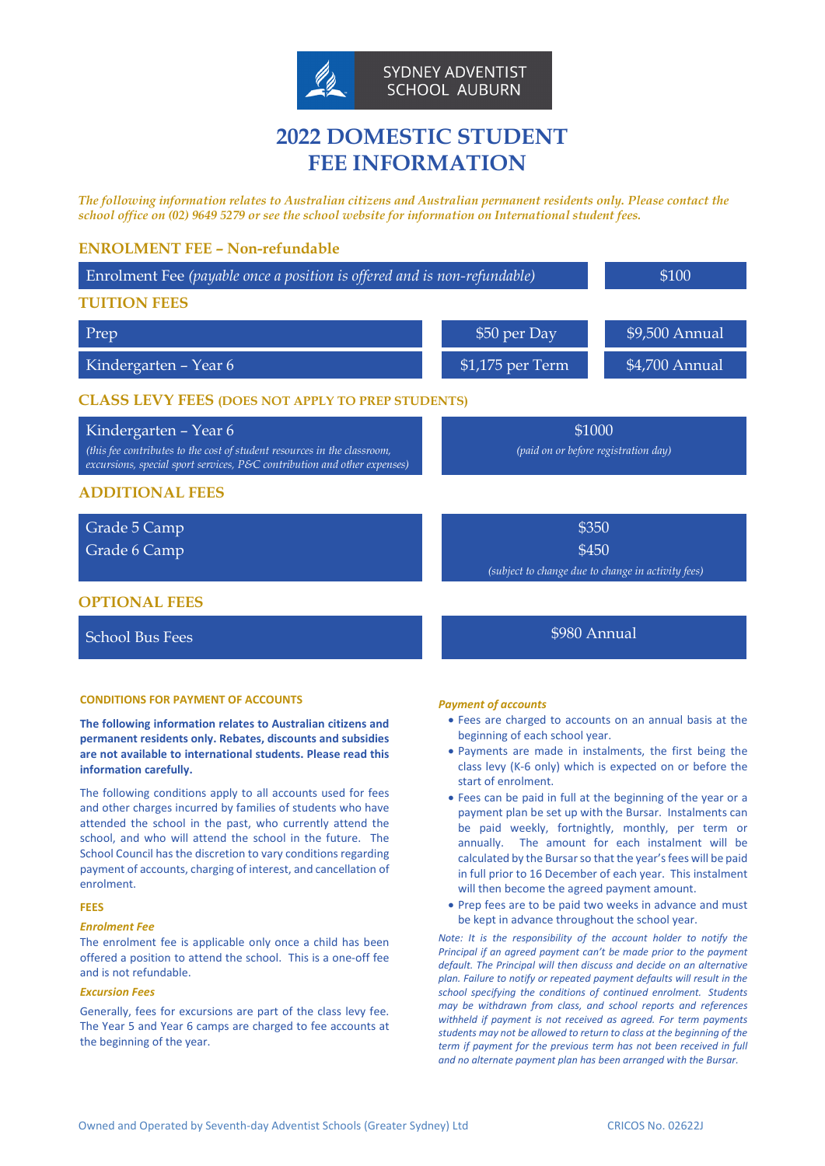

# **2022 DOMESTIC STUDENT FEE INFORMATION**

*The following information relates to Australian citizens and Australian permanent residents only. Please contact the school office on (02) 9649 5279 or see the school website for information on International student fees.*

# **ENROLMENT FEE – Non-refundable**

|                                                          | \$100                                                                                                                          |  |
|----------------------------------------------------------|--------------------------------------------------------------------------------------------------------------------------------|--|
|                                                          |                                                                                                                                |  |
| \$50 per Day                                             | \$9,500 Annual                                                                                                                 |  |
| $$1,175$ per Term                                        | \$4,700 Annual                                                                                                                 |  |
| <b>CLASS LEVY FEES (DOES NOT APPLY TO PREP STUDENTS)</b> |                                                                                                                                |  |
| \$1000<br>(paid on or before registration day)           |                                                                                                                                |  |
|                                                          |                                                                                                                                |  |
| \$350                                                    |                                                                                                                                |  |
| \$450                                                    |                                                                                                                                |  |
|                                                          |                                                                                                                                |  |
|                                                          | Enrolment Fee (payable once a position is offered and is non-refundable)<br>(subject to change due to change in activity fees) |  |

School Bus Fees  $\sim$  8980 Annual

# **CONDITIONS FOR PAYMENT OF ACCOUNTS**

**The following information relates to Australian citizens and permanent residents only. Rebates, discounts and subsidies are not available to international students. Please read this information carefully.**

The following conditions apply to all accounts used for fees and other charges incurred by families of students who have attended the school in the past, who currently attend the school, and who will attend the school in the future. The School Council has the discretion to vary conditions regarding payment of accounts, charging of interest, and cancellation of enrolment.

# **FEES**

#### *Enrolment Fee*

The enrolment fee is applicable only once a child has been offered a position to attend the school. This is a one-off fee and is not refundable.

# *Excursion Fees*

Generally, fees for excursions are part of the class levy fee. The Year 5 and Year 6 camps are charged to fee accounts at the beginning of the year.

#### *Payment of accounts*

- Fees are charged to accounts on an annual basis at the beginning of each school year.
- Payments are made in instalments, the first being the class levy (K-6 only) which is expected on or before the start of enrolment.
- Fees can be paid in full at the beginning of the year or a payment plan be set up with the Bursar. Instalments can be paid weekly, fortnightly, monthly, per term or annually. The amount for each instalment will be calculated by the Bursar so that the year's fees will be paid in full prior to 16 December of each year. This instalment will then become the agreed payment amount.
- Prep fees are to be paid two weeks in advance and must be kept in advance throughout the school year.

*Note: It is the responsibility of the account holder to notify the Principal if an agreed payment can't be made prior to the payment default. The Principal will then discuss and decide on an alternative plan. Failure to notify or repeated payment defaults will result in the school specifying the conditions of continued enrolment. Students may be withdrawn from class, and school reports and references withheld if payment is not received as agreed. For term payments students may not be allowed to return to class at the beginning of the term if payment for the previous term has not been received in full and no alternate payment plan has been arranged with the Bursar.*